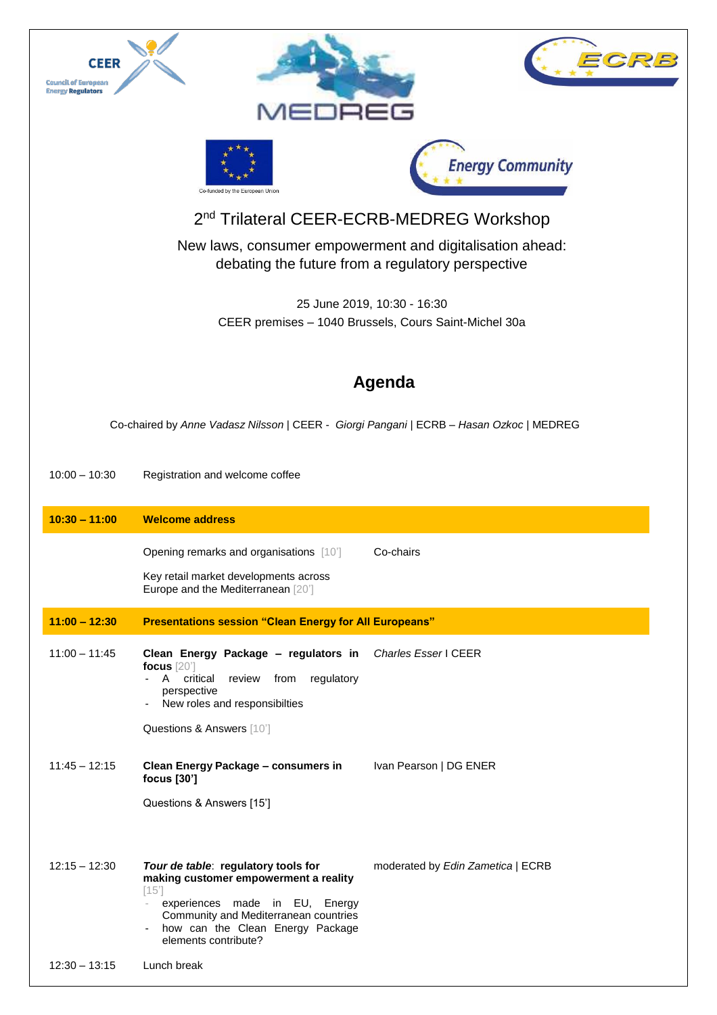

debating the future from a regulatory perspective

25 June 2019, 10:30 - 16:30 CEER premises – 1040 Brussels, Cours Saint-Michel 30a

## **Agenda**

Co-chaired by *Anne Vadasz Nilsson* | CEER - *Giorgi Pangani* | ECRB – *Hasan Ozkoc* | MEDREG

10:00 – 10:30 Registration and welcome coffee

| $10:30 - 11:00$ | <b>Welcome address</b>                                                                                                                                                                                                      |                                   |  |
|-----------------|-----------------------------------------------------------------------------------------------------------------------------------------------------------------------------------------------------------------------------|-----------------------------------|--|
|                 | <b>Opening remarks and organisations</b> [10]<br>Key retail market developments across<br>Europe and the Mediterranean [20]                                                                                                 | Co-chairs                         |  |
| $11:00 - 12:30$ | <b>Presentations session "Clean Energy for All Europeans"</b>                                                                                                                                                               |                                   |  |
| $11:00 - 11:45$ | Clean Energy Package - regulators in<br>focus $[20]$<br>A critical<br>review<br>from<br>regulatory<br>perspective<br>New roles and responsibilties<br>Questions & Answers [10]                                              | <b>Charles Esser   CEER</b>       |  |
| $11:45 - 12:15$ | Clean Energy Package - consumers in<br>focus [30']<br>Questions & Answers [15']                                                                                                                                             | Ivan Pearson   DG ENER            |  |
| $12:15 - 12:30$ | Tour de table: regulatory tools for<br>making customer empowerment a reality<br>[15]<br>experiences made in EU, Energy<br>Community and Mediterranean countries<br>how can the Clean Energy Package<br>elements contribute? | moderated by Edin Zametica   ECRB |  |
| $12:30 - 13:15$ | Lunch break                                                                                                                                                                                                                 |                                   |  |